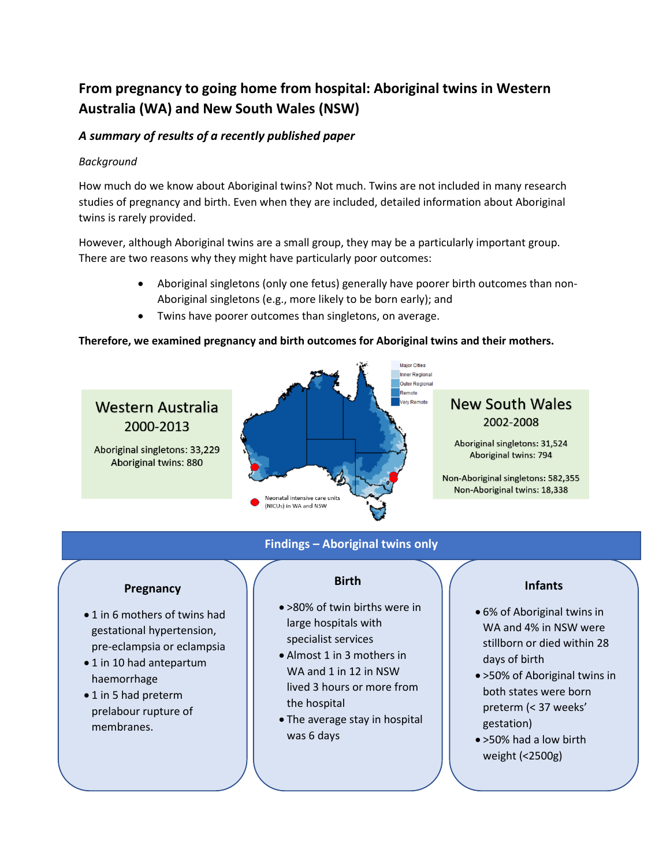# **From pregnancy to going home from hospital: Aboriginal twins in Western Australia (WA) and New South Wales (NSW)**

# *A summary of results of a recently published paper*

# *Background*

How much do we know about Aboriginal twins? Not much. Twins are not included in many research studies of pregnancy and birth. Even when they are included, detailed information about Aboriginal twins is rarely provided.

However, although Aboriginal twins are a small group, they may be a particularly important group. There are two reasons why they might have particularly poor outcomes:

- Aboriginal singletons (only one fetus) generally have poorer birth outcomes than non-Aboriginal singletons (e.g., more likely to be born early); and
- Twins have poorer outcomes than singletons, on average.

# **Therefore, we examined pregnancy and birth outcomes for Aboriginal twins and their mothers.**



# **Findings – Aboriginal twins only**

# **Pregnancy**

- 1 in 6 mothers of twins had gestational hypertension, pre-eclampsia or eclampsia
- 1 in 10 had antepartum haemorrhage
- 1 in 5 had preterm prelabour rupture of membranes.

# **Birth**

- >80% of twin births were in large hospitals with specialist services
- Almost 1 in 3 mothers in WA and 1 in 12 in NSW lived 3 hours or more from the hospital
- The average stay in hospital was 6 days

# **Infants**

- 6% of Aboriginal twins in WA and 4% in NSW were stillborn or died within 28 days of birth
- >50% of Aboriginal twins in both states were born preterm (< 37 weeks' gestation)
- >50% had a low birth weight (<2500g)